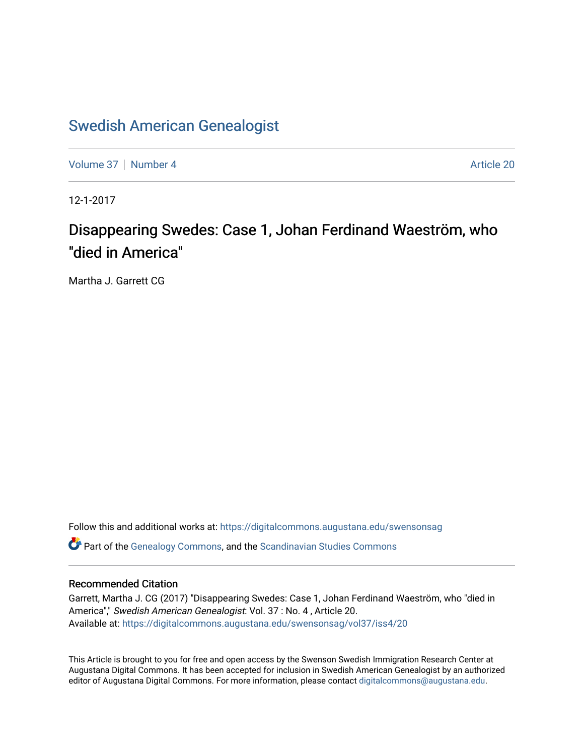### [Swedish American Genealogist](https://digitalcommons.augustana.edu/swensonsag)

[Volume 37](https://digitalcommons.augustana.edu/swensonsag/vol37) [Number 4](https://digitalcommons.augustana.edu/swensonsag/vol37/iss4) Article 20

12-1-2017

## Disappearing Swedes: Case 1, Johan Ferdinand Waeström, who "died in America"

Martha J. Garrett CG

Follow this and additional works at: [https://digitalcommons.augustana.edu/swensonsag](https://digitalcommons.augustana.edu/swensonsag?utm_source=digitalcommons.augustana.edu%2Fswensonsag%2Fvol37%2Fiss4%2F20&utm_medium=PDF&utm_campaign=PDFCoverPages) 

Part of the [Genealogy Commons,](http://network.bepress.com/hgg/discipline/1342?utm_source=digitalcommons.augustana.edu%2Fswensonsag%2Fvol37%2Fiss4%2F20&utm_medium=PDF&utm_campaign=PDFCoverPages) and the [Scandinavian Studies Commons](http://network.bepress.com/hgg/discipline/485?utm_source=digitalcommons.augustana.edu%2Fswensonsag%2Fvol37%2Fiss4%2F20&utm_medium=PDF&utm_campaign=PDFCoverPages)

#### Recommended Citation

Garrett, Martha J. CG (2017) "Disappearing Swedes: Case 1, Johan Ferdinand Waeström, who "died in America"," Swedish American Genealogist: Vol. 37 : No. 4 , Article 20. Available at: [https://digitalcommons.augustana.edu/swensonsag/vol37/iss4/20](https://digitalcommons.augustana.edu/swensonsag/vol37/iss4/20?utm_source=digitalcommons.augustana.edu%2Fswensonsag%2Fvol37%2Fiss4%2F20&utm_medium=PDF&utm_campaign=PDFCoverPages) 

This Article is brought to you for free and open access by the Swenson Swedish Immigration Research Center at Augustana Digital Commons. It has been accepted for inclusion in Swedish American Genealogist by an authorized editor of Augustana Digital Commons. For more information, please contact [digitalcommons@augustana.edu.](mailto:digitalcommons@augustana.edu)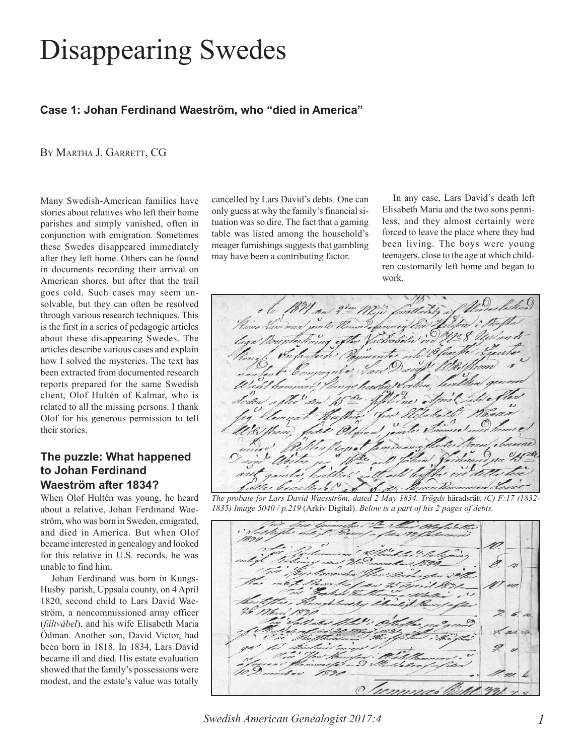# Disappearing Swedes

#### **Case 1: Johan Ferdinand Waeström, who "died in America"**

BY MARTHA J. GARRETT, CG

Many Swedish-American families have stories about relatives who left their home parishes and simply vanished, often in conjunction with emigration. Sometimes these Swedes disappeared immediately after they left home. Others can be found in documents recording their arrival on American shores, but after that the trail goes cold. Such cases may seem unsolvable, but they can often be resolved through various research techniques. This is the first in a series of pedagogic articles about these disappearing Swedes. The articles describe various cases and explain how I solved the mysteries. The text has been extracted from documented research reports prepared for the same Swedish client, Olof Hultén of Kalmar, who is related to all the missing persons. I thank Olof for his generous permission to tell their stories.

#### **The puzzle: What happened to Johan Ferdinand Waeström after 1834?**

When Olof Hultén was young, he heard about a relative, Johan Ferdinand Waeström, who was born in Sweden, emigrated, and died in America. But when Olof became interested in genealogy and looked for this relative in U.S. records, he was unable to find him.

Johan Ferdinand was born in Kungs-Husby parish, Uppsala county, on 4 April 1820, second child to Lars David Waeström, a noncommissioned army officer (*fältväbel*), and his wife Elisabeth Maria Ödman. Another son, David Victor, had been born in 1818. In 1834, Lars David became ill and died. His estate evaluation showed that the family's possessions were modest, and the estate's value was totally cancelled by Lars David's debts. One can only guess at why the family's financial situation was so dire. The fact that a gaming table was listed among the household's meager furnishings suggests that gambling may have been a contributing factor.

In any case, Lars David's death left Elisabeth Maria and the two sons penniless, and they almost certainly were forced to leave the place where they had been living. The boys were young teenagers, close to the age at which children customarily left home and began to work.



*The probate for Lars David Waesström, dated 2 May 1834. Trögds* häradsrätt *(C) F:17 (1832- 1835) Image 5040 / p.219* (Arkiv Digital). *Below is a part of his 2 pages of debts.*

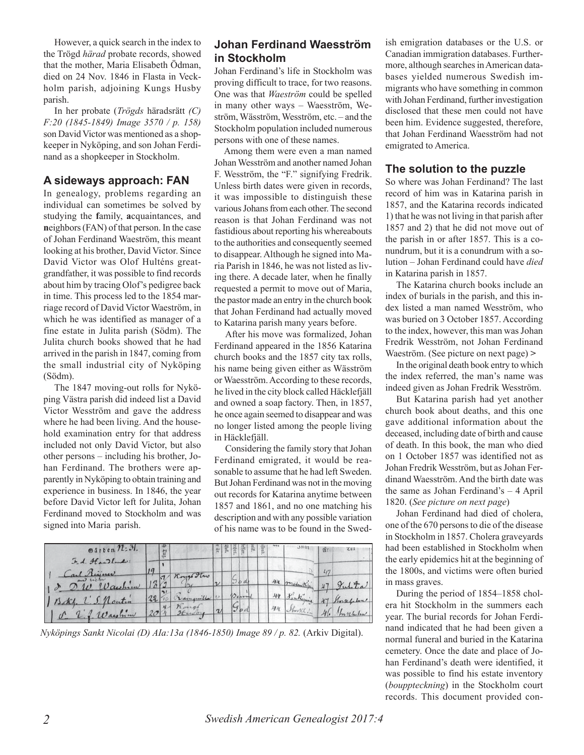However, a quick search in the index to the Trögd *härad* probate records, showed that the mother, Maria Elisabeth Ödman, died on 24 Nov. 1846 in Flasta in Veckholm parish, adjoining Kungs Husby parish.

In her probate (*Trögds* häradsrätt *(C) F:20 (1845-1849) Image 3570 / p. 158)* son David Victor was mentioned as a shopkeeper in Nyköping, and son Johan Ferdinand as a shopkeeper in Stockholm.

#### **A sideways approach: FAN**

In genealogy, problems regarding an individual can sometimes be solved by studying the **f**amily, **a**cquaintances, and **n**eighbors (FAN) of that person. In the case of Johan Ferdinand Waeström, this meant looking at his brother, David Victor. Since David Victor was Olof Hulténs greatgrandfather, it was possible to find records about him by tracing Olof's pedigree back in time. This process led to the 1854 marriage record of David Victor Waeström, in which he was identified as manager of a fine estate in Julita parish (Södm). The Julita church books showed that he had arrived in the parish in 1847, coming from the small industrial city of Nyköping (Södm).

The 1847 moving-out rolls for Nyköping Västra parish did indeed list a David Victor Wesström and gave the address where he had been living. And the household examination entry for that address included not only David Victor, but also other persons – including his brother, Johan Ferdinand. The brothers were apparently in Nyköping to obtain training and experience in business. In 1846, the year before David Victor left for Julita, Johan Ferdinand moved to Stockholm and was signed into Maria parish.

#### **Johan Ferdinand Waesström in Stockholm**

Johan Ferdinand's life in Stockholm was proving difficult to trace, for two reasons. One was that *Waeström* could be spelled in many other ways – Waesström, Weström, Wäsström, Wesström, etc. – and the Stockholm population included numerous persons with one of these names.

Among them were even a man named Johan Wesström and another named Johan F. Wesström, the "F." signifying Fredrik. Unless birth dates were given in records, it was impossible to distinguish these various Johans from each other. The second reason is that Johan Ferdinand was not fastidious about reporting his whereabouts to the authorities and consequently seemed to disappear. Although he signed into Maria Parish in 1846, he was not listed as living there. A decade later, when he finally requested a permit to move out of Maria, the pastor made an entry in the church book that Johan Ferdinand had actually moved to Katarina parish many years before.

After his move was formalized, Johan Ferdinand appeared in the 1856 Katarina church books and the 1857 city tax rolls, his name being given either as Wäsström or Waesström. According to these records, he lived in the city block called Häcklefjäll and owned a soap factory. Then, in 1857, he once again seemed to disappear and was no longer listed among the people living in Häcklefjäll.

Considering the family story that Johan Ferdinand emigrated, it would be reasonable to assume that he had left Sweden. But Johan Ferdinand was not in the moving out records for Katarina anytime between 1857 and 1861, and no one matching his description and with any possible variation of his name was to be found in the Swed-

| $O$ arben $\mathcal{H}$ : 31. |    |    |           | 台                  | $\frac{5}{20}$ | 18F | 骨  | 監 | ist |    | $31$ tan   | $Qf$ r | $2\ell$       |
|-------------------------------|----|----|-----------|--------------------|----------------|-----|----|---|-----|----|------------|--------|---------------|
| I.d. Handlands:               |    |    |           |                    |                |     |    |   |     |    |            |        |               |
| al Rein<br>$10$ auch          |    |    | Kongo Itw |                    |                |     | bd |   |     |    | 144 molute |        | Julita        |
| Soky. L.S. Nonton             | 22 | 10 |           |                    |                |     |    |   |     | 44 | Sankoming  |        | 47 Storefelow |
| 2. f. Wayhim                  |    |    | 2tu dv    | $\boldsymbol{\nu}$ |                | 3od |    |   |     | 44 | Storthouse | 46     | 1 m n h - Low |

*Nyköpings Sankt Nicolai (D) AIa:13a (1846-1850) Image 89 / p. 82.* (Arkiv Digital).

ish emigration databases or the U.S. or Canadian immigration databases. Furthermore, although searches in American databases yielded numerous Swedish immigrants who have something in common with Johan Ferdinand, further investigation disclosed that these men could not have been him. Evidence suggested, therefore, that Johan Ferdinand Waesström had not emigrated to America.

#### **The solution to the puzzle**

So where was Johan Ferdinand? The last record of him was in Katarina parish in 1857, and the Katarina records indicated 1) that he was not living in that parish after 1857 and 2) that he did not move out of the parish in or after 1857. This is a conundrum, but it is a conundrum with a solution – Johan Ferdinand could have *died* in Katarina parish in 1857.

The Katarina church books include an index of burials in the parish, and this index listed a man named Wesström, who was buried on 3 October 1857. According to the index, however, this man was Johan Fredrik Wesström, not Johan Ferdinand Waeström. (See picture on next page) **>**

In the original death book entry to which the index referred, the man's name was indeed given as Johan Fredrik Wesström.

But Katarina parish had yet another church book about deaths, and this one gave additional information about the deceased, including date of birth and cause of death. In this book, the man who died on 1 October 1857 was identified not as Johan Fredrik Wesström, but as Johan Ferdinand Waesström. And the birth date was the same as Johan Ferdinand's – 4 April 1820. (*See picture on next page*)

Johan Ferdinand had died of cholera, one of the 670 persons to die of the disease in Stockholm in 1857. Cholera graveyards had been established in Stockholm when the early epidemics hit at the beginning of the 1800s, and victims were often buried in mass graves.

During the period of 1854–1858 cholera hit Stockholm in the summers each year. The burial records for Johan Ferdinand indicated that he had been given a normal funeral and buried in the Katarina cemetery. Once the date and place of Johan Ferdinand's death were identified, it was possible to find his estate inventory (*bouppteckning*) in the Stockholm court records. This document provided con-